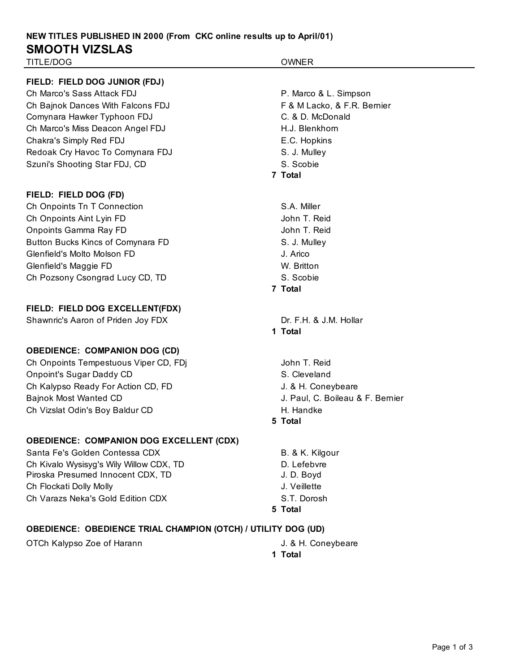## **NEW TITLES PUBLISHED IN 2000 (From CKC online results up to April/01) SMOOTH VIZSLAS** TITLE/DOG OWNER

**FIELD: FIELD DOG JUNIOR (FDJ)**

Ch Marco's Sass Attack FDJ P. Marco & L. Simpson Ch Bajnok Dances With Falcons FDJ F & M Lacko, & F.R. Bernier Comynara Hawker Typhoon FDJ C. & D. McDonald Ch Marco's Miss Deacon Angel FDJ **H.J. Blenkhorn** Chakra's Simply Red FDJ **E.C.** Hopkins Redoak Cry Havoc To Comynara FDJ S. J. Mulley Szuni's Shooting Star FDJ, CD S. Scobie

### **FIELD: FIELD DOG (FD)**

Ch Onpoints Tn T Connection S.A. Miller Ch Onpoints Aint Lyin FD Gold Changes and Changes and Changes John T. Reid Onpoints Gamma Ray FD Government Control of the John T. Reid Button Bucks Kincs of Comynara FD S. J. Mulley Glenfield's Molto Molson FD J. Arico Glenfield's Maggie FD W. Britton Ch Pozsony Csongrad Lucy CD, TD S. Scobie

### **FIELD: FIELD DOG EXCELLENT(FDX)**

Shawnric's Aaron of Priden Joy FDX Dr. F.H. & J.M. Hollar

### **OBEDIENCE: COMPANION DOG (CD)**

Ch Onpoints Tempestuous Viper CD, FDj John T. Reid Onpoint's Sugar Daddy CD S. Cleveland Ch Kalypso Ready For Action CD, FD General Action 3. & H. Coneybeare Bajnok Most Wanted CD **Good Communist Communist Communist Communist Communist Communist Communist Communist Communist Communist Communist Communist Communist Communist Communist Communist Communist Communist Communist Comm** Ch Vizslat Odin's Boy Baldur CD **H. Handke** 

### **OBEDIENCE: COMPANION DOG EXCELLENT (CDX)**

Santa Fe's Golden Contessa CDX B. & K. Kilgour Ch Kivalo Wysisyg's Wily Willow CDX, TD D. Lefebvre Piroska Presumed Innocent CDX, TD J. D. Boyd Ch Flockati Dolly Molly **Government** Ch Flockati Dolly Molly Ch Varazs Neka's Gold Edition CDX S.T. Dorosh

**7 Total 7 Total 1 Total 5 Total 5 Total OBEDIENCE: OBEDIENCE TRIAL CHAMPION (OTCH) / UTILITY DOG (UD)** OTCh Kalypso Zoe of Harann **J. & H. Coneybeare 1 Total**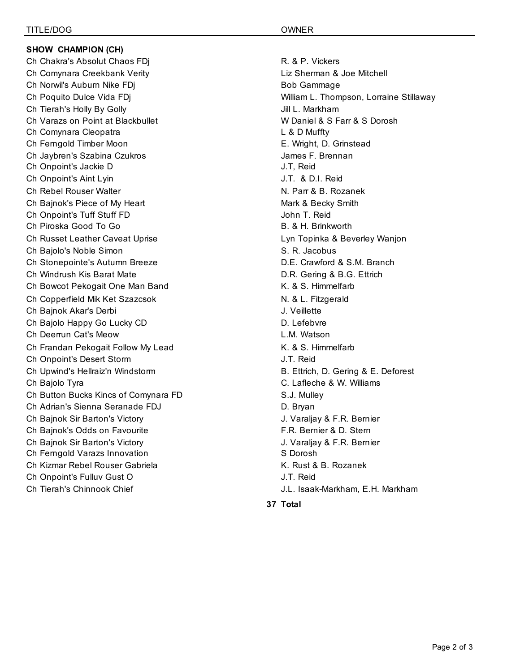### **SHOW CHAMPION (CH)**

Ch Chakra's Absolut Chaos FDj **R. & P. Vickers** Ch Comynara Creekbank Verity Liz Sherman & Joe Mitchell Ch Norwil's Auburn Nike FDi Bob Gammage Bob Gammage Ch Tierah's Holly By Golly **July 2008** Jill L. Markham Ch Varazs on Point at Blackbullet WELL CONDUCTURE WE DANIEL & S Farr & S Dorosh Ch Comynara Cleopatra L & D Muffty Ch Ferngold Timber Moon **E. Wright, D. Grinstead** Ch Jaybren's Szabina Czukros James F. Brennan Ch Onpoint's Jackie D J.T, Reid Ch Onpoint's Aint Lyin J.T. & D.I. Reid Ch Rebel Rouser Walter New York N. Parr & B. Rozanek Ch Bajnok's Piece of My Heart Mark & Becky Smith Ch Onpoint's Tuff Stuff FD John T. Reid Ch Piroska Good To Go B. & H. Brinkworth Ch Russet Leather Caveat Uprise Lyn Topinka & Beverley Wanjon Ch Bajolo's Noble Simon S. R. Jacobus S. R. Jacobus S. R. Jacobus Ch Stonepointe's Autumn Breeze **D.E. Crawford & S.M. Branch** Ch Windrush Kis Barat Mate D.R. Gering & B.G. Ettrich Ch Bowcot Pekogait One Man Band **K. & S. Himmelfarb** Ch Copperfield Mik Ket Szazcsok N. & L. Fitzgerald Ch Bajnok Akar's Derbi J. Veillette Ch Bajolo Happy Go Lucky CD **D.** D. Lefebvre Ch Deerrun Cat's Meow **L.M. Watson** Ch Frandan Pekogait Follow My Lead K. & S. Himmelfarb Ch Onpoint's Desert Storm J.T. Reid Ch Upwind's Hellraiz'n Windstorm **B. Ettrich, D. Gering & E. Deforest** Ch Bajolo Tyra C. Lafleche & W. Williams Ch Button Bucks Kincs of Comynara FD S.J. Mulley Ch Adrian's Sienna Seranade FDJ D. Bryan Ch Bajnok Sir Barton's Victory **J. Varaliav & F.R. Bernier** J. Varaljay & F.R. Bernier Ch Bajnok's Odds on Favourite F.R. Bernier & D. Stern Ch Bajnok Sir Barton's Victory **J. Varaliay & F.R. Bernier** J. Varaljay & F.R. Bernier Ch Ferngold Varazs Innovation S Dorosh Ch Kizmar Rebel Rouser Gabriela K. Rust & B. Rozanek Ch Onpoint's Fulluv Gust O J.T. Reid Ch Tierah's Chinnook Chief J.L. Isaak-Markham, E.H. Markham

Ch Poquito Dulce Vida FDj William L. Thompson, Lorraine Stillaway

**37 Total**